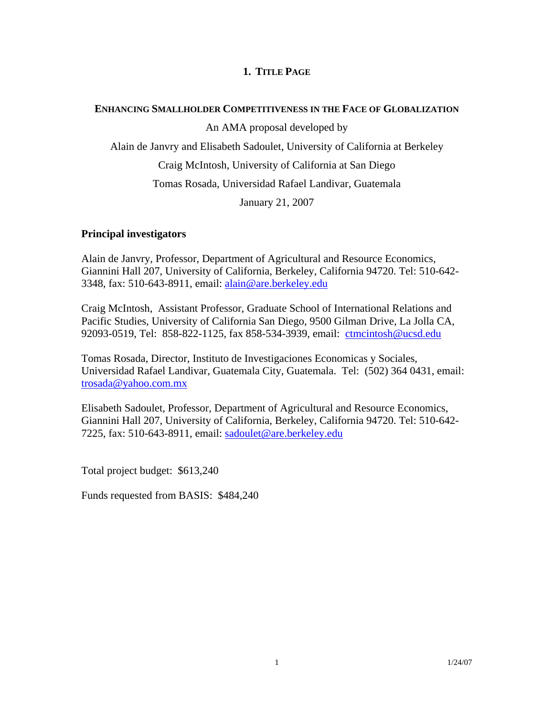# **1. TITLE PAGE**

## **ENHANCING SMALLHOLDER COMPETITIVENESS IN THE FACE OF GLOBALIZATION**

An AMA proposal developed by

Alain de Janvry and Elisabeth Sadoulet, University of California at Berkeley

Craig McIntosh, University of California at San Diego

Tomas Rosada, Universidad Rafael Landivar, Guatemala

January 21, 2007

# **Principal investigators**

Alain de Janvry, Professor, Department of Agricultural and Resource Economics, Giannini Hall 207, University of California, Berkeley, California 94720. Tel: 510-642- 3348, fax: 510-643-8911, email: [alain@are.berkeley.edu](mailto:alain@are.berkeley.edu)

Craig McIntosh, Assistant Professor, Graduate School of International Relations and Pacific Studies, University of California San Diego, 9500 Gilman Drive, La Jolla CA, 92093-0519, Tel: 858-822-1125, fax 858-534-3939, email: [ctmcintosh@ucsd.edu](mailto:ctmcintosh@ucsd.edu)

Tomas Rosada, Director, Instituto de Investigaciones Economicas y Sociales, Universidad Rafael Landivar, Guatemala City, Guatemala. Tel: (502) 364 0431, email: [trosada@yahoo.com.mx](mailto:trosada@yahoo.com.mx)

Elisabeth Sadoulet, Professor, Department of Agricultural and Resource Economics, Giannini Hall 207, University of California, Berkeley, California 94720. Tel: 510-642- 7225, fax: 510-643-8911, email: [sadoulet@are.berkeley.edu](mailto:sadoulet@are.berkeley.edu)

Total project budget: \$613,240

Funds requested from BASIS: \$484,240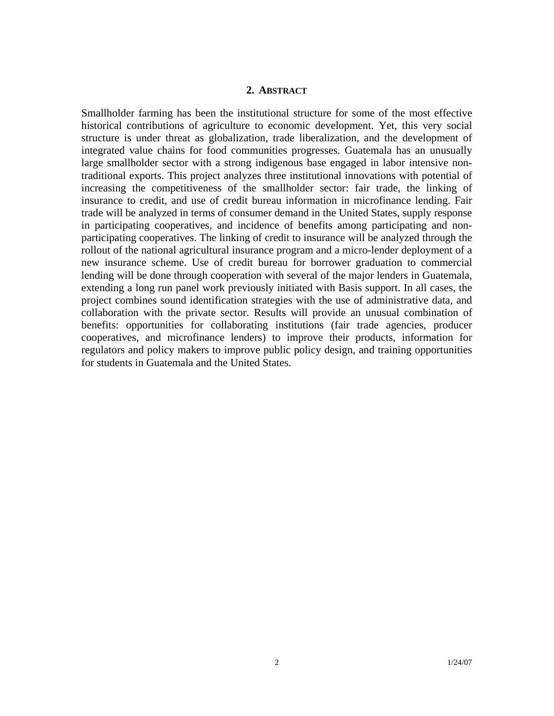### **2. ABSTRACT**

Smallholder farming has been the institutional structure for some of the most effective historical contributions of agriculture to economic development. Yet, this very social structure is under threat as globalization, trade liberalization, and the development of integrated value chains for food communities progresses. Guatemala has an unusually large smallholder sector with a strong indigenous base engaged in labor intensive nontraditional exports. This project analyzes three institutional innovations with potential of increasing the competitiveness of the smallholder sector: fair trade, the linking of insurance to credit, and use of credit bureau information in microfinance lending. Fair trade will be analyzed in terms of consumer demand in the United States, supply response in participating cooperatives, and incidence of benefits among participating and nonparticipating cooperatives. The linking of credit to insurance will be analyzed through the rollout of the national agricultural insurance program and a micro-lender deployment of a new insurance scheme. Use of credit bureau for borrower graduation to commercial lending will be done through cooperation with several of the major lenders in Guatemala, extending a long run panel work previously initiated with Basis support. In all cases, the project combines sound identification strategies with the use of administrative data, and collaboration with the private sector. Results will provide an unusual combination of benefits: opportunities for collaborating institutions (fair trade agencies, producer cooperatives, and microfinance lenders) to improve their products, information for regulators and policy makers to improve public policy design, and training opportunities for students in Guatemala and the United States.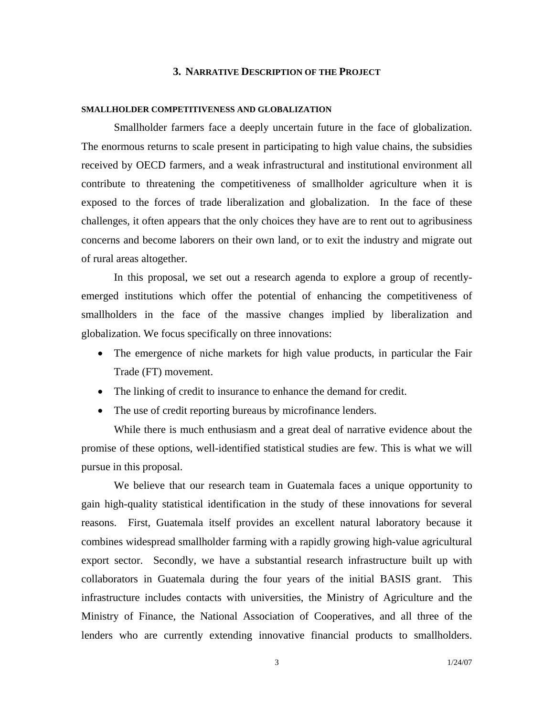#### **3. NARRATIVE DESCRIPTION OF THE PROJECT**

#### **SMALLHOLDER COMPETITIVENESS AND GLOBALIZATION**

 Smallholder farmers face a deeply uncertain future in the face of globalization. The enormous returns to scale present in participating to high value chains, the subsidies received by OECD farmers, and a weak infrastructural and institutional environment all contribute to threatening the competitiveness of smallholder agriculture when it is exposed to the forces of trade liberalization and globalization. In the face of these challenges, it often appears that the only choices they have are to rent out to agribusiness concerns and become laborers on their own land, or to exit the industry and migrate out of rural areas altogether.

 In this proposal, we set out a research agenda to explore a group of recentlyemerged institutions which offer the potential of enhancing the competitiveness of smallholders in the face of the massive changes implied by liberalization and globalization. We focus specifically on three innovations:

- The emergence of niche markets for high value products, in particular the Fair Trade (FT) movement.
- The linking of credit to insurance to enhance the demand for credit.
- The use of credit reporting bureaus by microfinance lenders.

While there is much enthusiasm and a great deal of narrative evidence about the promise of these options, well-identified statistical studies are few. This is what we will pursue in this proposal.

 We believe that our research team in Guatemala faces a unique opportunity to gain high-quality statistical identification in the study of these innovations for several reasons. First, Guatemala itself provides an excellent natural laboratory because it combines widespread smallholder farming with a rapidly growing high-value agricultural export sector. Secondly, we have a substantial research infrastructure built up with collaborators in Guatemala during the four years of the initial BASIS grant. This infrastructure includes contacts with universities, the Ministry of Agriculture and the Ministry of Finance, the National Association of Cooperatives, and all three of the lenders who are currently extending innovative financial products to smallholders.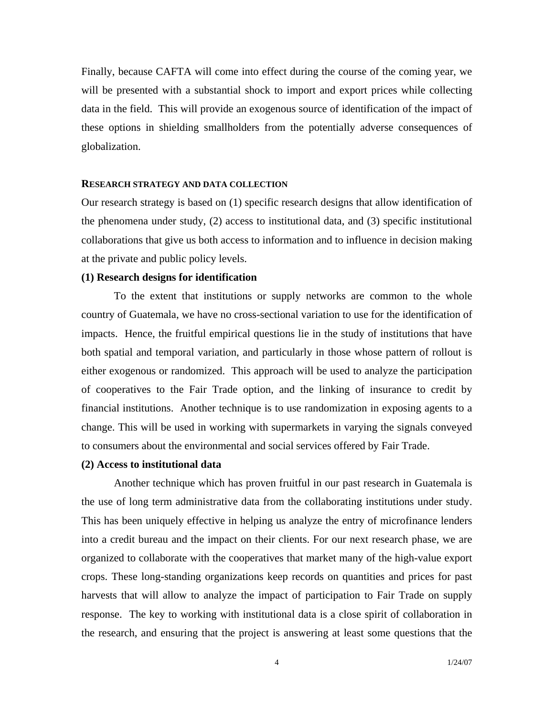Finally, because CAFTA will come into effect during the course of the coming year, we will be presented with a substantial shock to import and export prices while collecting data in the field. This will provide an exogenous source of identification of the impact of these options in shielding smallholders from the potentially adverse consequences of globalization.

#### **RESEARCH STRATEGY AND DATA COLLECTION**

Our research strategy is based on (1) specific research designs that allow identification of the phenomena under study, (2) access to institutional data, and (3) specific institutional collaborations that give us both access to information and to influence in decision making at the private and public policy levels.

#### **(1) Research designs for identification**

To the extent that institutions or supply networks are common to the whole country of Guatemala, we have no cross-sectional variation to use for the identification of impacts. Hence, the fruitful empirical questions lie in the study of institutions that have both spatial and temporal variation, and particularly in those whose pattern of rollout is either exogenous or randomized. This approach will be used to analyze the participation of cooperatives to the Fair Trade option, and the linking of insurance to credit by financial institutions. Another technique is to use randomization in exposing agents to a change. This will be used in working with supermarkets in varying the signals conveyed to consumers about the environmental and social services offered by Fair Trade.

#### **(2) Access to institutional data**

 Another technique which has proven fruitful in our past research in Guatemala is the use of long term administrative data from the collaborating institutions under study. This has been uniquely effective in helping us analyze the entry of microfinance lenders into a credit bureau and the impact on their clients. For our next research phase, we are organized to collaborate with the cooperatives that market many of the high-value export crops. These long-standing organizations keep records on quantities and prices for past harvests that will allow to analyze the impact of participation to Fair Trade on supply response. The key to working with institutional data is a close spirit of collaboration in the research, and ensuring that the project is answering at least some questions that the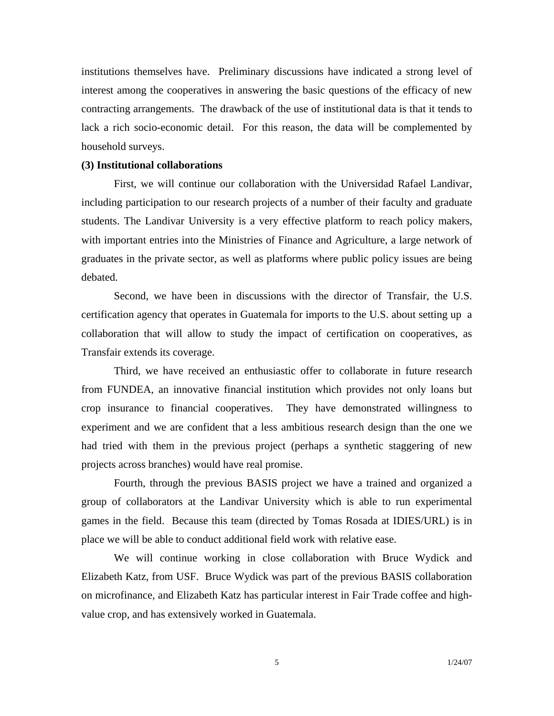institutions themselves have. Preliminary discussions have indicated a strong level of interest among the cooperatives in answering the basic questions of the efficacy of new contracting arrangements. The drawback of the use of institutional data is that it tends to lack a rich socio-economic detail. For this reason, the data will be complemented by household surveys.

### **(3) Institutional collaborations**

 First, we will continue our collaboration with the Universidad Rafael Landivar, including participation to our research projects of a number of their faculty and graduate students. The Landivar University is a very effective platform to reach policy makers, with important entries into the Ministries of Finance and Agriculture, a large network of graduates in the private sector, as well as platforms where public policy issues are being debated.

Second, we have been in discussions with the director of Transfair, the U.S. certification agency that operates in Guatemala for imports to the U.S. about setting up a collaboration that will allow to study the impact of certification on cooperatives, as Transfair extends its coverage.

Third, we have received an enthusiastic offer to collaborate in future research from FUNDEA, an innovative financial institution which provides not only loans but crop insurance to financial cooperatives. They have demonstrated willingness to experiment and we are confident that a less ambitious research design than the one we had tried with them in the previous project (perhaps a synthetic staggering of new projects across branches) would have real promise.

Fourth, through the previous BASIS project we have a trained and organized a group of collaborators at the Landivar University which is able to run experimental games in the field. Because this team (directed by Tomas Rosada at IDIES/URL) is in place we will be able to conduct additional field work with relative ease.

We will continue working in close collaboration with Bruce Wydick and Elizabeth Katz, from USF. Bruce Wydick was part of the previous BASIS collaboration on microfinance, and Elizabeth Katz has particular interest in Fair Trade coffee and highvalue crop, and has extensively worked in Guatemala.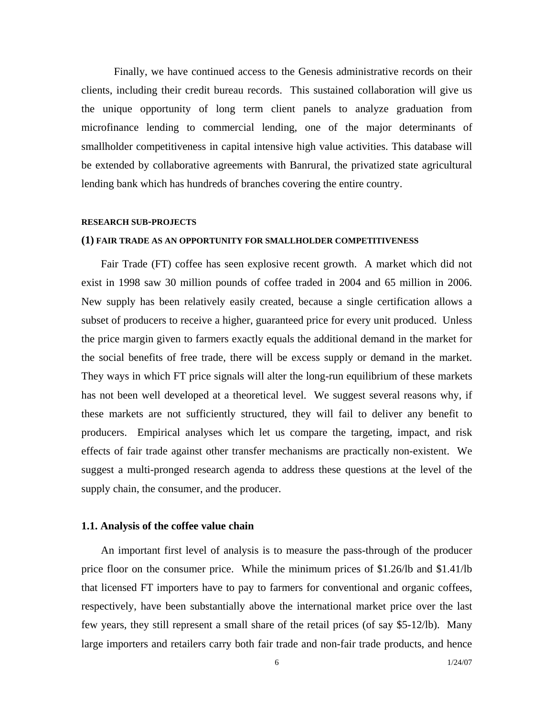Finally, we have continued access to the Genesis administrative records on their clients, including their credit bureau records. This sustained collaboration will give us the unique opportunity of long term client panels to analyze graduation from microfinance lending to commercial lending, one of the major determinants of smallholder competitiveness in capital intensive high value activities. This database will be extended by collaborative agreements with Banrural, the privatized state agricultural lending bank which has hundreds of branches covering the entire country.

#### **RESEARCH SUB-PROJECTS**

#### **(1) FAIR TRADE AS AN OPPORTUNITY FOR SMALLHOLDER COMPETITIVENESS**

Fair Trade (FT) coffee has seen explosive recent growth. A market which did not exist in 1998 saw 30 million pounds of coffee traded in 2004 and 65 million in 2006. New supply has been relatively easily created, because a single certification allows a subset of producers to receive a higher, guaranteed price for every unit produced. Unless the price margin given to farmers exactly equals the additional demand in the market for the social benefits of free trade, there will be excess supply or demand in the market. They ways in which FT price signals will alter the long-run equilibrium of these markets has not been well developed at a theoretical level. We suggest several reasons why, if these markets are not sufficiently structured, they will fail to deliver any benefit to producers. Empirical analyses which let us compare the targeting, impact, and risk effects of fair trade against other transfer mechanisms are practically non-existent. We suggest a multi-pronged research agenda to address these questions at the level of the supply chain, the consumer, and the producer.

#### **1.1. Analysis of the coffee value chain**

An important first level of analysis is to measure the pass-through of the producer price floor on the consumer price. While the minimum prices of \$1.26/lb and \$1.41/lb that licensed FT importers have to pay to farmers for conventional and organic coffees, respectively, have been substantially above the international market price over the last few years, they still represent a small share of the retail prices (of say \$5-12/lb). Many large importers and retailers carry both fair trade and non-fair trade products, and hence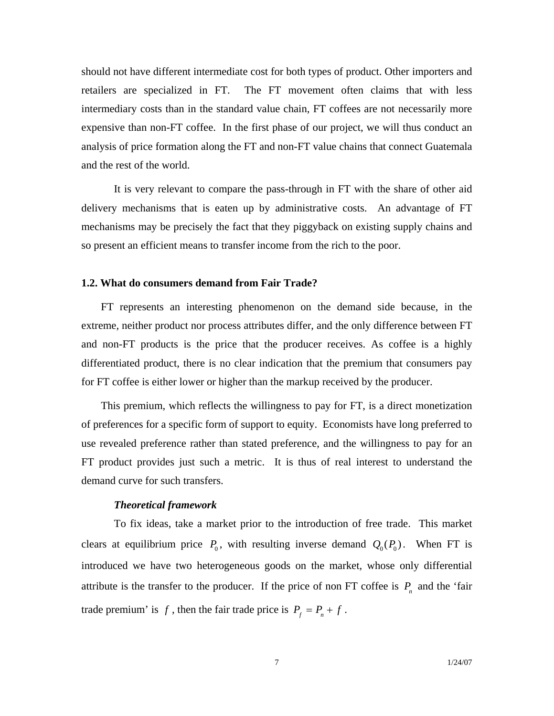should not have different intermediate cost for both types of product. Other importers and retailers are specialized in FT. The FT movement often claims that with less intermediary costs than in the standard value chain, FT coffees are not necessarily more expensive than non-FT coffee. In the first phase of our project, we will thus conduct an analysis of price formation along the FT and non-FT value chains that connect Guatemala and the rest of the world.

 It is very relevant to compare the pass-through in FT with the share of other aid delivery mechanisms that is eaten up by administrative costs. An advantage of FT mechanisms may be precisely the fact that they piggyback on existing supply chains and so present an efficient means to transfer income from the rich to the poor.

#### **1.2. What do consumers demand from Fair Trade?**

FT represents an interesting phenomenon on the demand side because, in the extreme, neither product nor process attributes differ, and the only difference between FT and non-FT products is the price that the producer receives. As coffee is a highly differentiated product, there is no clear indication that the premium that consumers pay for FT coffee is either lower or higher than the markup received by the producer.

This premium, which reflects the willingness to pay for FT, is a direct monetization of preferences for a specific form of support to equity. Economists have long preferred to use revealed preference rather than stated preference, and the willingness to pay for an FT product provides just such a metric. It is thus of real interest to understand the demand curve for such transfers.

### *Theoretical framework*

To fix ideas, take a market prior to the introduction of free trade. This market clears at equilibrium price  $P_0$ , with resulting inverse demand  $Q_0(P_0)$ . When FT is introduced we have two heterogeneous goods on the market, whose only differential attribute is the transfer to the producer. If the price of non FT coffee is  $P_n$  and the 'fair trade premium' is f, then the fair trade price is  $P_f = P_n + f$ .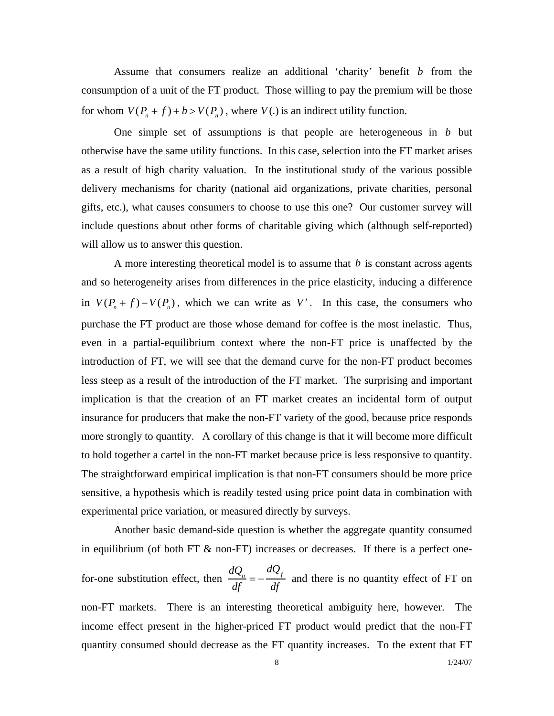Assume that consumers realize an additional 'charity' benefit  $\mathbf{b}$  from the consumption of a unit of the FT product. Those willing to pay the premium will be those for whom  $V(P_n + f) + b > V(P_n)$ , where  $V(.)$  is an indirect utility function.

 One simple set of assumptions is that people are heterogeneous in *b* but otherwise have the same utility functions. In this case, selection into the FT market arises as a result of high charity valuation. In the institutional study of the various possible delivery mechanisms for charity (national aid organizations, private charities, personal gifts, etc.), what causes consumers to choose to use this one? Our customer survey will include questions about other forms of charitable giving which (although self-reported) will allow us to answer this question.

 A more interesting theoretical model is to assume that *b* is constant across agents and so heterogeneity arises from differences in the price elasticity, inducing a difference in  $V(P_n + f) - V(P_n)$ , which we can write as *V'*. In this case, the consumers who purchase the FT product are those whose demand for coffee is the most inelastic. Thus, even in a partial-equilibrium context where the non-FT price is unaffected by the introduction of FT, we will see that the demand curve for the non-FT product becomes less steep as a result of the introduction of the FT market. The surprising and important implication is that the creation of an FT market creates an incidental form of output insurance for producers that make the non-FT variety of the good, because price responds more strongly to quantity. A corollary of this change is that it will become more difficult to hold together a cartel in the non-FT market because price is less responsive to quantity. The straightforward empirical implication is that non-FT consumers should be more price sensitive, a hypothesis which is readily tested using price point data in combination with experimental price variation, or measured directly by surveys.

Another basic demand-side question is whether the aggregate quantity consumed in equilibrium (of both FT  $\&$  non-FT) increases or decreases. If there is a perfect onefor-one substitution effect, then  $\frac{dQ_n}{df} = -\frac{dQ_f}{df}$  and there is no quantity effect of FT on non-FT markets. There is an interesting theoretical ambiguity here, however. The income effect present in the higher-priced FT product would predict that the non-FT quantity consumed should decrease as the FT quantity increases. To the extent that FT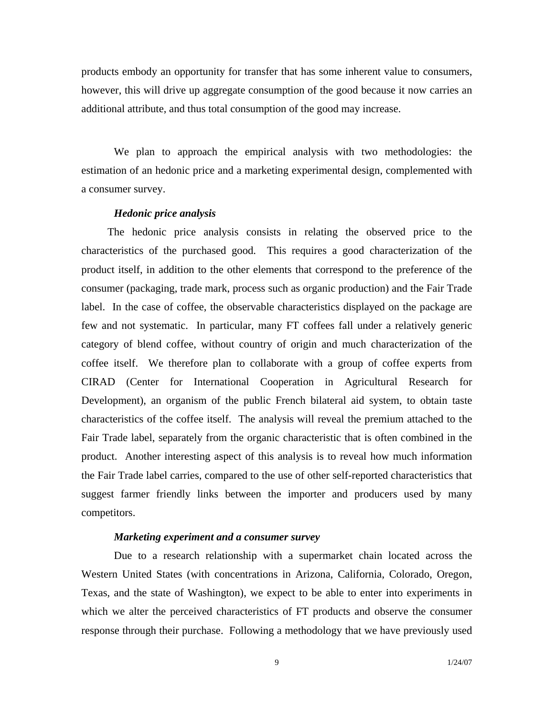products embody an opportunity for transfer that has some inherent value to consumers, however, this will drive up aggregate consumption of the good because it now carries an additional attribute, and thus total consumption of the good may increase.

 We plan to approach the empirical analysis with two methodologies: the estimation of an hedonic price and a marketing experimental design, complemented with a consumer survey.

### *Hedonic price analysis*

The hedonic price analysis consists in relating the observed price to the characteristics of the purchased good. This requires a good characterization of the product itself, in addition to the other elements that correspond to the preference of the consumer (packaging, trade mark, process such as organic production) and the Fair Trade label. In the case of coffee, the observable characteristics displayed on the package are few and not systematic. In particular, many FT coffees fall under a relatively generic category of blend coffee, without country of origin and much characterization of the coffee itself. We therefore plan to collaborate with a group of coffee experts from CIRAD (Center for International Cooperation in Agricultural Research for Development), an organism of the public French bilateral aid system, to obtain taste characteristics of the coffee itself. The analysis will reveal the premium attached to the Fair Trade label, separately from the organic characteristic that is often combined in the product. Another interesting aspect of this analysis is to reveal how much information the Fair Trade label carries, compared to the use of other self-reported characteristics that suggest farmer friendly links between the importer and producers used by many competitors.

### *Marketing experiment and a consumer survey*

Due to a research relationship with a supermarket chain located across the Western United States (with concentrations in Arizona, California, Colorado, Oregon, Texas, and the state of Washington), we expect to be able to enter into experiments in which we alter the perceived characteristics of FT products and observe the consumer response through their purchase. Following a methodology that we have previously used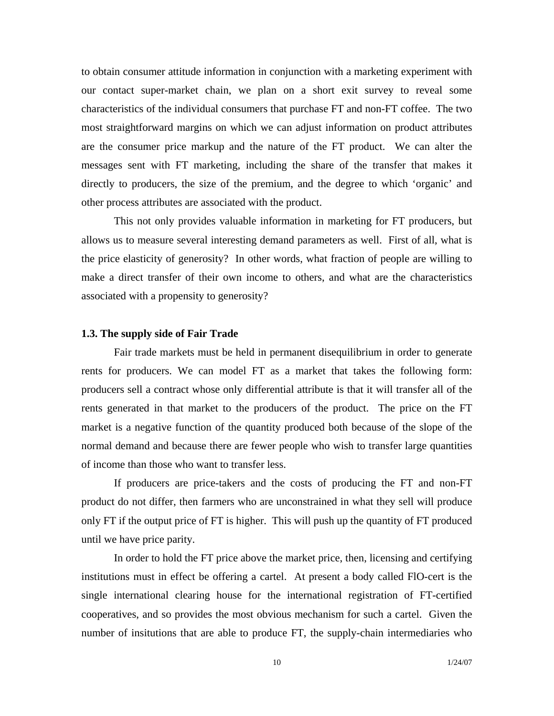to obtain consumer attitude information in conjunction with a marketing experiment with our contact super-market chain, we plan on a short exit survey to reveal some characteristics of the individual consumers that purchase FT and non-FT coffee. The two most straightforward margins on which we can adjust information on product attributes are the consumer price markup and the nature of the FT product. We can alter the messages sent with FT marketing, including the share of the transfer that makes it directly to producers, the size of the premium, and the degree to which 'organic' and other process attributes are associated with the product.

 This not only provides valuable information in marketing for FT producers, but allows us to measure several interesting demand parameters as well. First of all, what is the price elasticity of generosity? In other words, what fraction of people are willing to make a direct transfer of their own income to others, and what are the characteristics associated with a propensity to generosity?

### **1.3. The supply side of Fair Trade**

Fair trade markets must be held in permanent disequilibrium in order to generate rents for producers. We can model FT as a market that takes the following form: producers sell a contract whose only differential attribute is that it will transfer all of the rents generated in that market to the producers of the product. The price on the FT market is a negative function of the quantity produced both because of the slope of the normal demand and because there are fewer people who wish to transfer large quantities of income than those who want to transfer less.

If producers are price-takers and the costs of producing the FT and non-FT product do not differ, then farmers who are unconstrained in what they sell will produce only FT if the output price of FT is higher. This will push up the quantity of FT produced until we have price parity.

 In order to hold the FT price above the market price, then, licensing and certifying institutions must in effect be offering a cartel. At present a body called FlO-cert is the single international clearing house for the international registration of FT-certified cooperatives, and so provides the most obvious mechanism for such a cartel. Given the number of insitutions that are able to produce FT, the supply-chain intermediaries who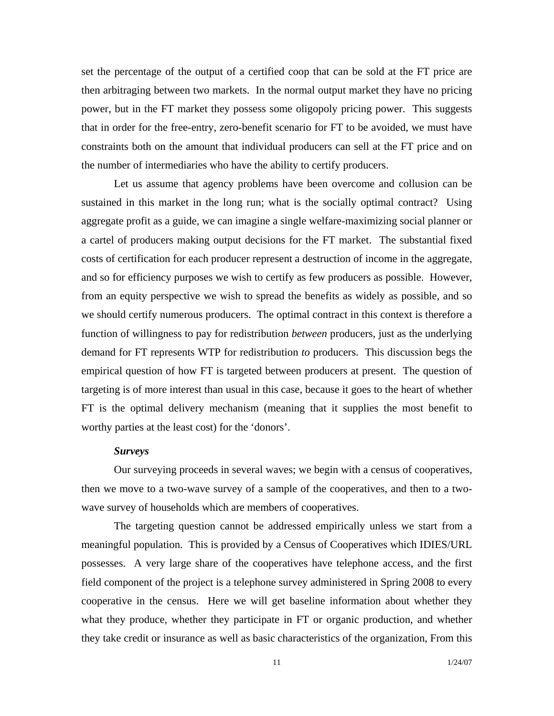set the percentage of the output of a certified coop that can be sold at the FT price are then arbitraging between two markets. In the normal output market they have no pricing power, but in the FT market they possess some oligopoly pricing power. This suggests that in order for the free-entry, zero-benefit scenario for FT to be avoided, we must have constraints both on the amount that individual producers can sell at the FT price and on the number of intermediaries who have the ability to certify producers.

Let us assume that agency problems have been overcome and collusion can be sustained in this market in the long run; what is the socially optimal contract? Using aggregate profit as a guide, we can imagine a single welfare-maximizing social planner or a cartel of producers making output decisions for the FT market. The substantial fixed costs of certification for each producer represent a destruction of income in the aggregate, and so for efficiency purposes we wish to certify as few producers as possible. However, from an equity perspective we wish to spread the benefits as widely as possible, and so we should certify numerous producers. The optimal contract in this context is therefore a function of willingness to pay for redistribution *between* producers, just as the underlying demand for FT represents WTP for redistribution *to* producers. This discussion begs the empirical question of how FT is targeted between producers at present. The question of targeting is of more interest than usual in this case, because it goes to the heart of whether FT is the optimal delivery mechanism (meaning that it supplies the most benefit to worthy parties at the least cost) for the 'donors'.

#### *Surveys*

Our surveying proceeds in several waves; we begin with a census of cooperatives, then we move to a two-wave survey of a sample of the cooperatives, and then to a twowave survey of households which are members of cooperatives.

The targeting question cannot be addressed empirically unless we start from a meaningful population. This is provided by a Census of Cooperatives which IDIES/URL possesses. A very large share of the cooperatives have telephone access, and the first field component of the project is a telephone survey administered in Spring 2008 to every cooperative in the census. Here we will get baseline information about whether they what they produce, whether they participate in FT or organic production, and whether they take credit or insurance as well as basic characteristics of the organization, From this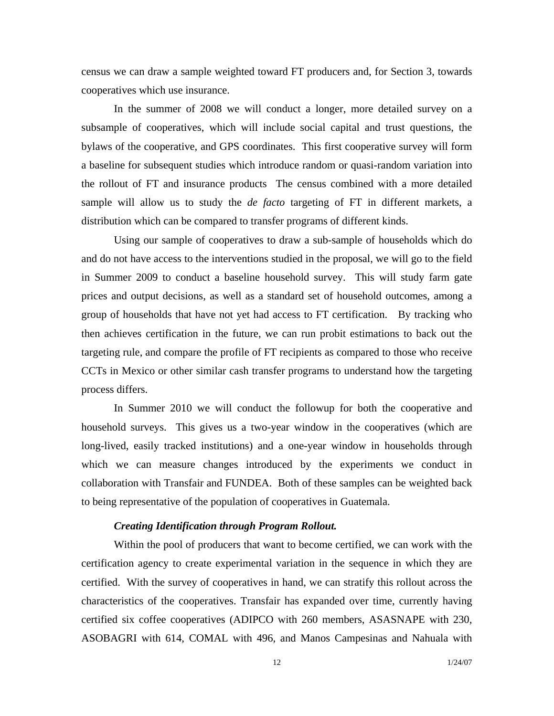census we can draw a sample weighted toward FT producers and, for Section 3, towards cooperatives which use insurance.

In the summer of 2008 we will conduct a longer, more detailed survey on a subsample of cooperatives, which will include social capital and trust questions, the bylaws of the cooperative, and GPS coordinates. This first cooperative survey will form a baseline for subsequent studies which introduce random or quasi-random variation into the rollout of FT and insurance products The census combined with a more detailed sample will allow us to study the *de facto* targeting of FT in different markets, a distribution which can be compared to transfer programs of different kinds.

Using our sample of cooperatives to draw a sub-sample of households which do and do not have access to the interventions studied in the proposal, we will go to the field in Summer 2009 to conduct a baseline household survey. This will study farm gate prices and output decisions, as well as a standard set of household outcomes, among a group of households that have not yet had access to FT certification. By tracking who then achieves certification in the future, we can run probit estimations to back out the targeting rule, and compare the profile of FT recipients as compared to those who receive CCTs in Mexico or other similar cash transfer programs to understand how the targeting process differs.

In Summer 2010 we will conduct the followup for both the cooperative and household surveys. This gives us a two-year window in the cooperatives (which are long-lived, easily tracked institutions) and a one-year window in households through which we can measure changes introduced by the experiments we conduct in collaboration with Transfair and FUNDEA. Both of these samples can be weighted back to being representative of the population of cooperatives in Guatemala.

### *Creating Identification through Program Rollout.*

Within the pool of producers that want to become certified, we can work with the certification agency to create experimental variation in the sequence in which they are certified. With the survey of cooperatives in hand, we can stratify this rollout across the characteristics of the cooperatives. Transfair has expanded over time, currently having certified six coffee cooperatives (ADIPCO with 260 members, ASASNAPE with 230, ASOBAGRI with 614, COMAL with 496, and Manos Campesinas and Nahuala with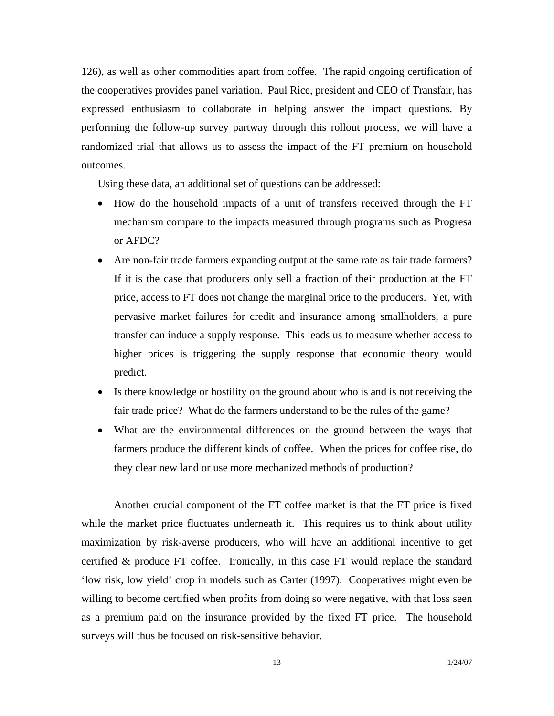126), as well as other commodities apart from coffee. The rapid ongoing certification of the cooperatives provides panel variation. Paul Rice, president and CEO of Transfair, has expressed enthusiasm to collaborate in helping answer the impact questions. By performing the follow-up survey partway through this rollout process, we will have a randomized trial that allows us to assess the impact of the FT premium on household outcomes.

Using these data, an additional set of questions can be addressed:

- How do the household impacts of a unit of transfers received through the FT mechanism compare to the impacts measured through programs such as Progresa or AFDC?
- Are non-fair trade farmers expanding output at the same rate as fair trade farmers? If it is the case that producers only sell a fraction of their production at the FT price, access to FT does not change the marginal price to the producers. Yet, with pervasive market failures for credit and insurance among smallholders, a pure transfer can induce a supply response. This leads us to measure whether access to higher prices is triggering the supply response that economic theory would predict.
- Is there knowledge or hostility on the ground about who is and is not receiving the fair trade price? What do the farmers understand to be the rules of the game?
- What are the environmental differences on the ground between the ways that farmers produce the different kinds of coffee. When the prices for coffee rise, do they clear new land or use more mechanized methods of production?

Another crucial component of the FT coffee market is that the FT price is fixed while the market price fluctuates underneath it. This requires us to think about utility maximization by risk-averse producers, who will have an additional incentive to get certified & produce FT coffee. Ironically, in this case FT would replace the standard 'low risk, low yield' crop in models such as Carter (1997). Cooperatives might even be willing to become certified when profits from doing so were negative, with that loss seen as a premium paid on the insurance provided by the fixed FT price. The household surveys will thus be focused on risk-sensitive behavior.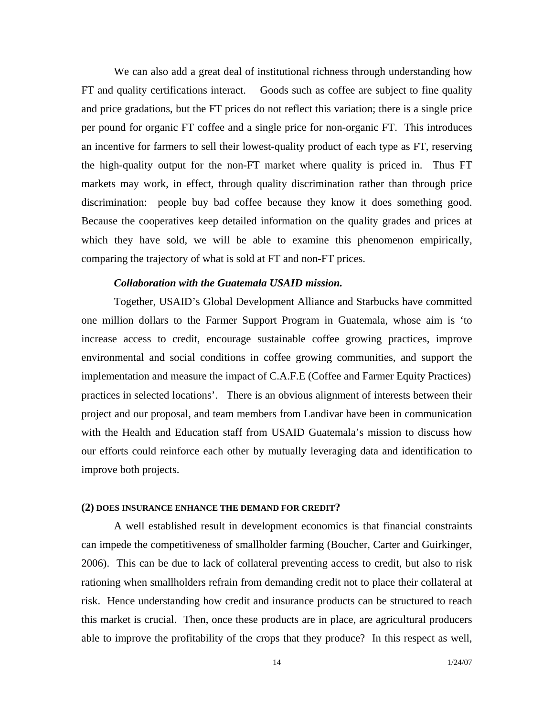We can also add a great deal of institutional richness through understanding how FT and quality certifications interact. Goods such as coffee are subject to fine quality and price gradations, but the FT prices do not reflect this variation; there is a single price per pound for organic FT coffee and a single price for non-organic FT. This introduces an incentive for farmers to sell their lowest-quality product of each type as FT, reserving the high-quality output for the non-FT market where quality is priced in. Thus FT markets may work, in effect, through quality discrimination rather than through price discrimination: people buy bad coffee because they know it does something good. Because the cooperatives keep detailed information on the quality grades and prices at which they have sold, we will be able to examine this phenomenon empirically, comparing the trajectory of what is sold at FT and non-FT prices.

### *Collaboration with the Guatemala USAID mission.*

Together, USAID's Global Development Alliance and Starbucks have committed one million dollars to the Farmer Support Program in Guatemala, whose aim is 'to increase access to credit, encourage sustainable coffee growing practices, improve environmental and social conditions in coffee growing communities, and support the implementation and measure the impact of C.A.F.E (Coffee and Farmer Equity Practices) practices in selected locations'. There is an obvious alignment of interests between their project and our proposal, and team members from Landivar have been in communication with the Health and Education staff from USAID Guatemala's mission to discuss how our efforts could reinforce each other by mutually leveraging data and identification to improve both projects.

#### **(2) DOES INSURANCE ENHANCE THE DEMAND FOR CREDIT?**

A well established result in development economics is that financial constraints can impede the competitiveness of smallholder farming (Boucher, Carter and Guirkinger, 2006). This can be due to lack of collateral preventing access to credit, but also to risk rationing when smallholders refrain from demanding credit not to place their collateral at risk. Hence understanding how credit and insurance products can be structured to reach this market is crucial. Then, once these products are in place, are agricultural producers able to improve the profitability of the crops that they produce? In this respect as well,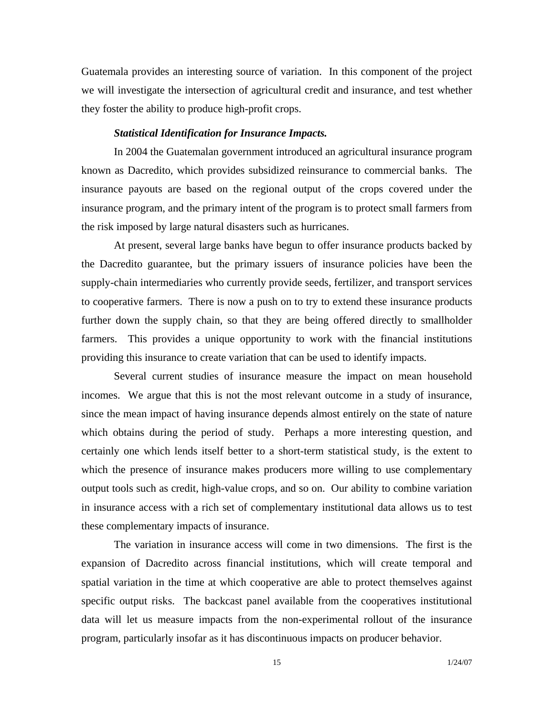Guatemala provides an interesting source of variation. In this component of the project we will investigate the intersection of agricultural credit and insurance, and test whether they foster the ability to produce high-profit crops.

#### *Statistical Identification for Insurance Impacts.*

 In 2004 the Guatemalan government introduced an agricultural insurance program known as Dacredito, which provides subsidized reinsurance to commercial banks. The insurance payouts are based on the regional output of the crops covered under the insurance program, and the primary intent of the program is to protect small farmers from the risk imposed by large natural disasters such as hurricanes.

 At present, several large banks have begun to offer insurance products backed by the Dacredito guarantee, but the primary issuers of insurance policies have been the supply-chain intermediaries who currently provide seeds, fertilizer, and transport services to cooperative farmers. There is now a push on to try to extend these insurance products further down the supply chain, so that they are being offered directly to smallholder farmers. This provides a unique opportunity to work with the financial institutions providing this insurance to create variation that can be used to identify impacts.

 Several current studies of insurance measure the impact on mean household incomes. We argue that this is not the most relevant outcome in a study of insurance, since the mean impact of having insurance depends almost entirely on the state of nature which obtains during the period of study. Perhaps a more interesting question, and certainly one which lends itself better to a short-term statistical study, is the extent to which the presence of insurance makes producers more willing to use complementary output tools such as credit, high-value crops, and so on. Our ability to combine variation in insurance access with a rich set of complementary institutional data allows us to test these complementary impacts of insurance.

 The variation in insurance access will come in two dimensions. The first is the expansion of Dacredito across financial institutions, which will create temporal and spatial variation in the time at which cooperative are able to protect themselves against specific output risks. The backcast panel available from the cooperatives institutional data will let us measure impacts from the non-experimental rollout of the insurance program, particularly insofar as it has discontinuous impacts on producer behavior.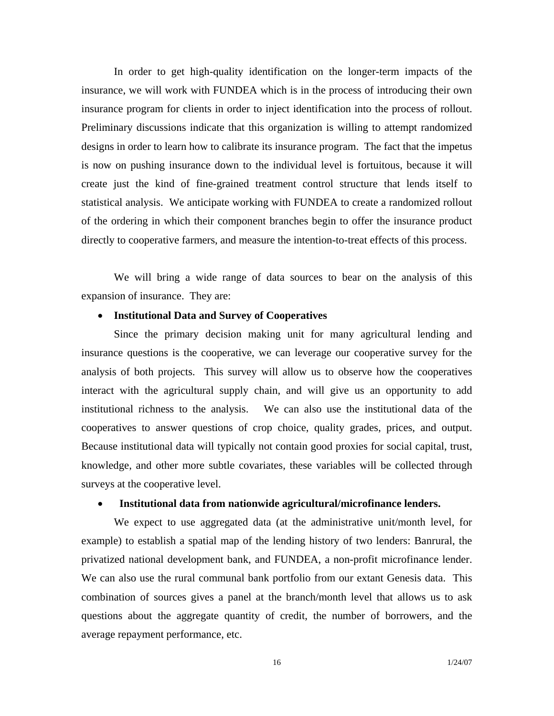In order to get high-quality identification on the longer-term impacts of the insurance, we will work with FUNDEA which is in the process of introducing their own insurance program for clients in order to inject identification into the process of rollout. Preliminary discussions indicate that this organization is willing to attempt randomized designs in order to learn how to calibrate its insurance program. The fact that the impetus is now on pushing insurance down to the individual level is fortuitous, because it will create just the kind of fine-grained treatment control structure that lends itself to statistical analysis. We anticipate working with FUNDEA to create a randomized rollout of the ordering in which their component branches begin to offer the insurance product directly to cooperative farmers, and measure the intention-to-treat effects of this process.

We will bring a wide range of data sources to bear on the analysis of this expansion of insurance. They are:

## • **Institutional Data and Survey of Cooperatives**

 Since the primary decision making unit for many agricultural lending and insurance questions is the cooperative, we can leverage our cooperative survey for the analysis of both projects. This survey will allow us to observe how the cooperatives interact with the agricultural supply chain, and will give us an opportunity to add institutional richness to the analysis. We can also use the institutional data of the cooperatives to answer questions of crop choice, quality grades, prices, and output. Because institutional data will typically not contain good proxies for social capital, trust, knowledge, and other more subtle covariates, these variables will be collected through surveys at the cooperative level.

### • **Institutional data from nationwide agricultural/microfinance lenders.**

We expect to use aggregated data (at the administrative unit/month level, for example) to establish a spatial map of the lending history of two lenders: Banrural, the privatized national development bank, and FUNDEA, a non-profit microfinance lender. We can also use the rural communal bank portfolio from our extant Genesis data. This combination of sources gives a panel at the branch/month level that allows us to ask questions about the aggregate quantity of credit, the number of borrowers, and the average repayment performance, etc.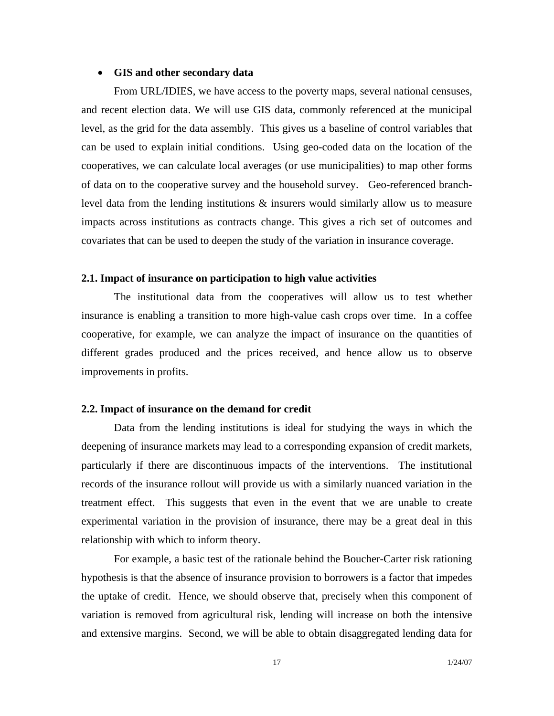#### • **GIS and other secondary data**

From URL/IDIES, we have access to the poverty maps, several national censuses, and recent election data. We will use GIS data, commonly referenced at the municipal level, as the grid for the data assembly. This gives us a baseline of control variables that can be used to explain initial conditions. Using geo-coded data on the location of the cooperatives, we can calculate local averages (or use municipalities) to map other forms of data on to the cooperative survey and the household survey. Geo-referenced branchlevel data from the lending institutions & insurers would similarly allow us to measure impacts across institutions as contracts change. This gives a rich set of outcomes and covariates that can be used to deepen the study of the variation in insurance coverage.

### **2.1. Impact of insurance on participation to high value activities**

 The institutional data from the cooperatives will allow us to test whether insurance is enabling a transition to more high-value cash crops over time. In a coffee cooperative, for example, we can analyze the impact of insurance on the quantities of different grades produced and the prices received, and hence allow us to observe improvements in profits.

## **2.2. Impact of insurance on the demand for credit**

Data from the lending institutions is ideal for studying the ways in which the deepening of insurance markets may lead to a corresponding expansion of credit markets, particularly if there are discontinuous impacts of the interventions. The institutional records of the insurance rollout will provide us with a similarly nuanced variation in the treatment effect. This suggests that even in the event that we are unable to create experimental variation in the provision of insurance, there may be a great deal in this relationship with which to inform theory.

For example, a basic test of the rationale behind the Boucher-Carter risk rationing hypothesis is that the absence of insurance provision to borrowers is a factor that impedes the uptake of credit. Hence, we should observe that, precisely when this component of variation is removed from agricultural risk, lending will increase on both the intensive and extensive margins. Second, we will be able to obtain disaggregated lending data for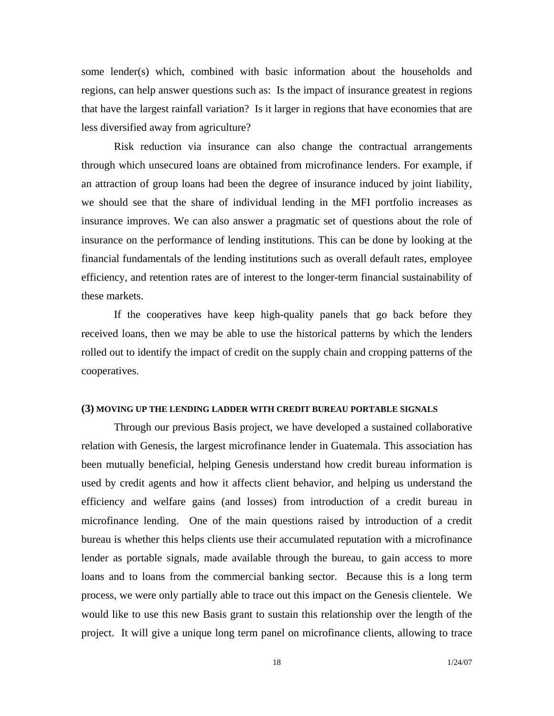some lender(s) which, combined with basic information about the households and regions, can help answer questions such as: Is the impact of insurance greatest in regions that have the largest rainfall variation? Is it larger in regions that have economies that are less diversified away from agriculture?

Risk reduction via insurance can also change the contractual arrangements through which unsecured loans are obtained from microfinance lenders. For example, if an attraction of group loans had been the degree of insurance induced by joint liability, we should see that the share of individual lending in the MFI portfolio increases as insurance improves. We can also answer a pragmatic set of questions about the role of insurance on the performance of lending institutions. This can be done by looking at the financial fundamentals of the lending institutions such as overall default rates, employee efficiency, and retention rates are of interest to the longer-term financial sustainability of these markets.

 If the cooperatives have keep high-quality panels that go back before they received loans, then we may be able to use the historical patterns by which the lenders rolled out to identify the impact of credit on the supply chain and cropping patterns of the cooperatives.

#### **(3) MOVING UP THE LENDING LADDER WITH CREDIT BUREAU PORTABLE SIGNALS**

Through our previous Basis project, we have developed a sustained collaborative relation with Genesis, the largest microfinance lender in Guatemala. This association has been mutually beneficial, helping Genesis understand how credit bureau information is used by credit agents and how it affects client behavior, and helping us understand the efficiency and welfare gains (and losses) from introduction of a credit bureau in microfinance lending. One of the main questions raised by introduction of a credit bureau is whether this helps clients use their accumulated reputation with a microfinance lender as portable signals, made available through the bureau, to gain access to more loans and to loans from the commercial banking sector. Because this is a long term process, we were only partially able to trace out this impact on the Genesis clientele. We would like to use this new Basis grant to sustain this relationship over the length of the project. It will give a unique long term panel on microfinance clients, allowing to trace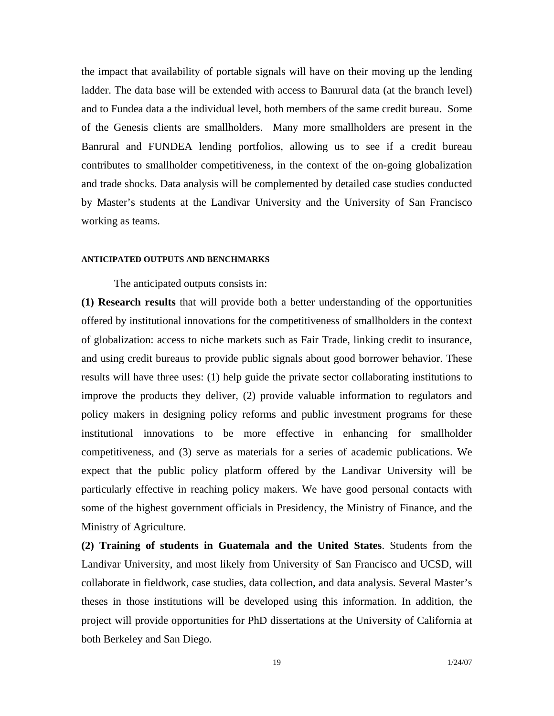the impact that availability of portable signals will have on their moving up the lending ladder. The data base will be extended with access to Banrural data (at the branch level) and to Fundea data a the individual level, both members of the same credit bureau. Some of the Genesis clients are smallholders. Many more smallholders are present in the Banrural and FUNDEA lending portfolios, allowing us to see if a credit bureau contributes to smallholder competitiveness, in the context of the on-going globalization and trade shocks. Data analysis will be complemented by detailed case studies conducted by Master's students at the Landivar University and the University of San Francisco working as teams.

## **ANTICIPATED OUTPUTS AND BENCHMARKS**

The anticipated outputs consists in:

**(1) Research results** that will provide both a better understanding of the opportunities offered by institutional innovations for the competitiveness of smallholders in the context of globalization: access to niche markets such as Fair Trade, linking credit to insurance, and using credit bureaus to provide public signals about good borrower behavior. These results will have three uses: (1) help guide the private sector collaborating institutions to improve the products they deliver, (2) provide valuable information to regulators and policy makers in designing policy reforms and public investment programs for these institutional innovations to be more effective in enhancing for smallholder competitiveness, and (3) serve as materials for a series of academic publications. We expect that the public policy platform offered by the Landivar University will be particularly effective in reaching policy makers. We have good personal contacts with some of the highest government officials in Presidency, the Ministry of Finance, and the Ministry of Agriculture.

**(2) Training of students in Guatemala and the United States**. Students from the Landivar University, and most likely from University of San Francisco and UCSD, will collaborate in fieldwork, case studies, data collection, and data analysis. Several Master's theses in those institutions will be developed using this information. In addition, the project will provide opportunities for PhD dissertations at the University of California at both Berkeley and San Diego.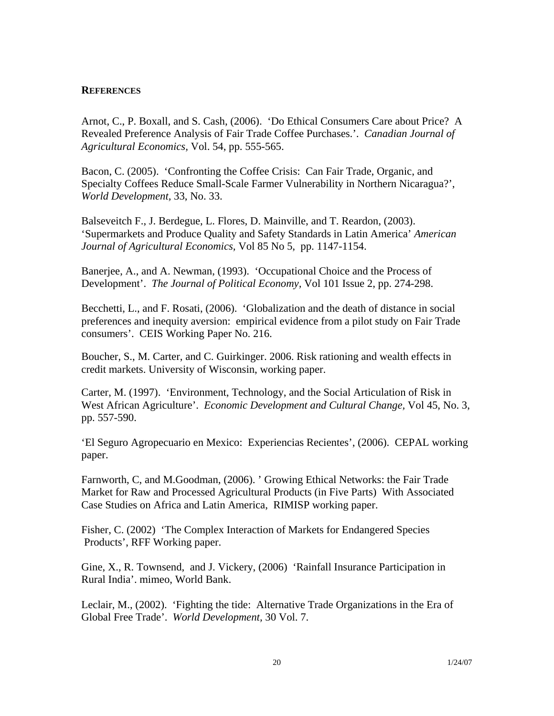## **REFERENCES**

Arnot, C., P. Boxall, and S. Cash, (2006). 'Do Ethical Consumers Care about Price? A Revealed Preference Analysis of Fair Trade Coffee Purchases.'. *Canadian Journal of Agricultural Economics,* Vol. 54, pp. 555-565.

Bacon, C. (2005). 'Confronting the Coffee Crisis: Can Fair Trade, Organic, and Specialty Coffees Reduce Small-Scale Farmer Vulnerability in Northern Nicaragua?', *World Development,* 33, No. 33.

Balseveitch F., J. Berdegue, L. Flores, D. Mainville, and T. Reardon, (2003). 'Supermarkets and Produce Quality and Safety Standards in Latin America' *American Journal of Agricultural Economics,* Vol 85 No 5, pp. 1147-1154.

Banerjee, A., and A. Newman, (1993). 'Occupational Choice and the Process of Development'. *The Journal of Political Economy,* Vol 101 Issue 2, pp. 274-298.

Becchetti, L., and F. Rosati, (2006). 'Globalization and the death of distance in social preferences and inequity aversion: empirical evidence from a pilot study on Fair Trade consumers'. CEIS Working Paper No. 216.

Boucher, S., M. Carter, and C. Guirkinger. 2006. Risk rationing and wealth effects in credit markets. University of Wisconsin, working paper.

Carter, M. (1997). 'Environment, Technology, and the Social Articulation of Risk in West African Agriculture'. *Economic Development and Cultural Change,* Vol 45, No. 3, pp. 557-590.

'El Seguro Agropecuario en Mexico: Experiencias Recientes', (2006). CEPAL working paper.

Farnworth, C, and M.Goodman, (2006). ' Growing Ethical Networks: the Fair Trade Market for Raw and Processed Agricultural Products (in Five Parts) With Associated Case Studies on Africa and Latin America, RIMISP working paper.

Fisher, C. (2002) 'The Complex Interaction of Markets for Endangered Species Products', RFF Working paper.

Gine, X., R. Townsend, and J. Vickery, (2006) 'Rainfall Insurance Participation in Rural India'. mimeo, World Bank.

Leclair, M., (2002). 'Fighting the tide: Alternative Trade Organizations in the Era of Global Free Trade'. *World Development,* 30 Vol. 7.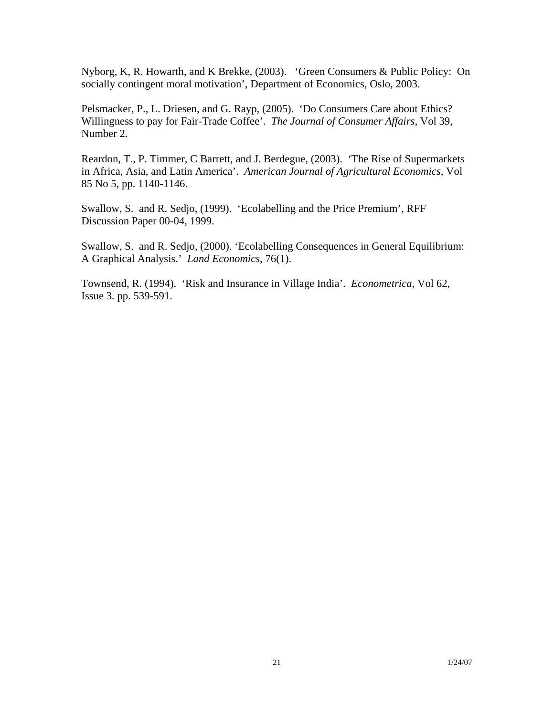Nyborg, K, R. Howarth, and K Brekke, (2003). 'Green Consumers & Public Policy: On socially contingent moral motivation', Department of Economics, Oslo, 2003.

Pelsmacker, P., L. Driesen, and G. Rayp, (2005). 'Do Consumers Care about Ethics? Willingness to pay for Fair-Trade Coffee'. *The Journal of Consumer Affairs*, Vol 39, Number 2.

Reardon, T., P. Timmer, C Barrett, and J. Berdegue, (2003). 'The Rise of Supermarkets in Africa, Asia, and Latin America'. *American Journal of Agricultural Economics,* Vol 85 No 5, pp. 1140-1146.

Swallow, S. and R. Sedjo, (1999). 'Ecolabelling and the Price Premium', RFF Discussion Paper 00-04, 1999.

Swallow, S. and R. Sedjo, (2000). 'Ecolabelling Consequences in General Equilibrium: A Graphical Analysis.' *Land Economics,* 76(1).

Townsend, R. (1994). 'Risk and Insurance in Village India'. *Econometrica,* Vol 62, Issue 3. pp. 539-591.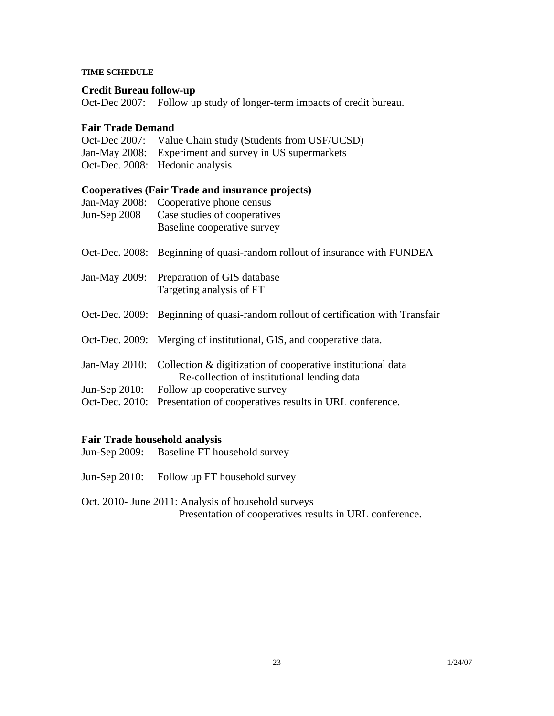### **TIME SCHEDULE**

## **Credit Bureau follow-up**

Oct-Dec 2007: Follow up study of longer-term impacts of credit bureau.

## **Fair Trade Demand**

| Oct-Dec 2007: Value Chain study (Students from USF/UCSD) |
|----------------------------------------------------------|
| Jan-May 2008: Experiment and survey in US supermarkets   |
| Oct-Dec. 2008: Hedonic analysis                          |

# **Cooperatives (Fair Trade and insurance projects)**

| Jan-May 2008:<br>Jun-Sep $2008$ | Cooperative phone census<br>Case studies of cooperatives<br>Baseline cooperative survey                                  |
|---------------------------------|--------------------------------------------------------------------------------------------------------------------------|
|                                 | Oct-Dec. 2008: Beginning of quasi-random rollout of insurance with FUNDEA                                                |
| Jan-May 2009:                   | Preparation of GIS database<br>Targeting analysis of FT                                                                  |
|                                 | Oct-Dec. 2009: Beginning of quasi-random rollout of certification with Transfair                                         |
|                                 | Oct-Dec. 2009: Merging of institutional, GIS, and cooperative data.                                                      |
|                                 | Jan-May 2010: Collection & digitization of cooperative institutional data<br>Re-collection of institutional lending data |
| Jun-Sep $2010$ :                | Follow up cooperative survey                                                                                             |
|                                 | Oct-Dec. 2010: Presentation of cooperatives results in URL conference.                                                   |

# **Fair Trade household analysis**

- Jun-Sep 2009: Baseline FT household survey
- Jun-Sep 2010: Follow up FT household survey

Oct. 2010- June 2011: Analysis of household surveys Presentation of cooperatives results in URL conference.